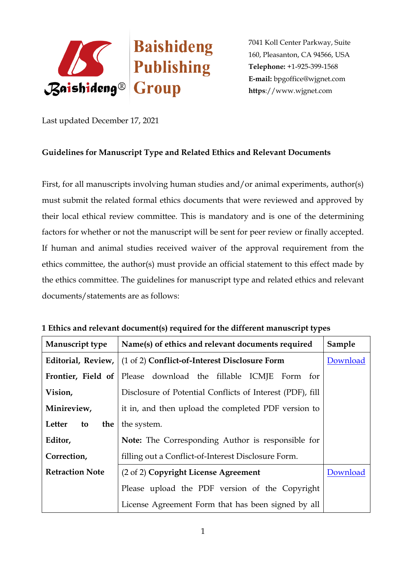

Last updated December 17, 2021

# **Guidelines for Manuscript Type and Related Ethics and Relevant Documents**

First, for all manuscripts involving human studies and/or animal experiments, author(s) must submit the related formal ethics documents that were reviewed and approved by their local ethical review committee. This is mandatory and is one of the determining factors for whether or not the manuscript will be sent for peer review or finally accepted. If human and animal studies received waiver of the approval requirement from the ethics committee, the author(s) must provide an official statement to this effect made by the ethics committee. The guidelines for manuscript type and related ethics and relevant documents/statements are as follows:

| Manuscript type        | Name(s) of ethics and relevant documents required                  | Sample   |
|------------------------|--------------------------------------------------------------------|----------|
|                        | Editorial, Review,   (1 of 2) Conflict-of-Interest Disclosure Form | Download |
| Frontier, Field of     | Please download the fillable ICMJE Form for                        |          |
| Vision,                | Disclosure of Potential Conflicts of Interest (PDF), fill          |          |
| Minireview,            | it in, and then upload the completed PDF version to                |          |
| Letter<br>the<br>to    | the system.                                                        |          |
| Editor,                | <b>Note:</b> The Corresponding Author is responsible for           |          |
| Correction,            | filling out a Conflict-of-Interest Disclosure Form.                |          |
| <b>Retraction Note</b> | (2 of 2) Copyright License Agreement                               | Download |
|                        | Please upload the PDF version of the Copyright                     |          |
|                        | License Agreement Form that has been signed by all                 |          |

## **1 Ethics and relevant document(s) required for the different manuscript types**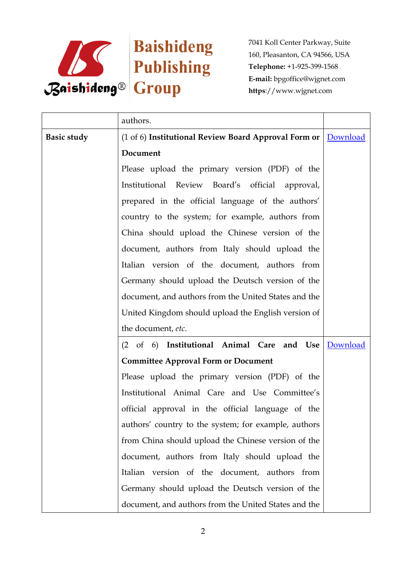

|                    | authors.                                                        |          |
|--------------------|-----------------------------------------------------------------|----------|
| <b>Basic study</b> | (1 of 6) Institutional Review Board Approval Form or   Download |          |
|                    | Document                                                        |          |
|                    | Please upload the primary version (PDF) of the                  |          |
|                    | Institutional Review Board's official approval,                 |          |
|                    | prepared in the official language of the authors'               |          |
|                    | country to the system; for example, authors from                |          |
|                    | China should upload the Chinese version of the                  |          |
|                    | document, authors from Italy should upload the                  |          |
|                    | Italian version of the document, authors from                   |          |
|                    | Germany should upload the Deutsch version of the                |          |
|                    | document, and authors from the United States and the            |          |
|                    | United Kingdom should upload the English version of             |          |
|                    | the document, etc.                                              |          |
|                    | (2 of 6) Institutional Animal Care and Use                      | Download |
|                    | <b>Committee Approval Form or Document</b>                      |          |
|                    | Please upload the primary version (PDF) of the                  |          |
|                    | Institutional Animal Care and Use Committee's                   |          |
|                    | official approval in the official language of the               |          |
|                    | authors' country to the system; for example, authors            |          |
|                    | from China should upload the Chinese version of the             |          |
|                    | document, authors from Italy should upload the                  |          |
|                    | Italian version of the document, authors from                   |          |
|                    | Germany should upload the Deutsch version of the                |          |
|                    | document, and authors from the United States and the            |          |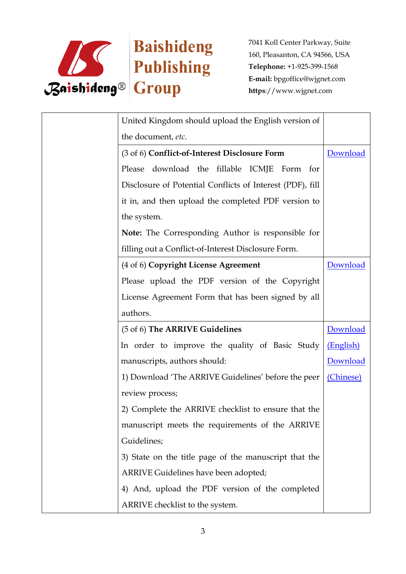

| United Kingdom should upload the English version of       |           |
|-----------------------------------------------------------|-----------|
| the document, etc.                                        |           |
| (3 of 6) Conflict-of-Interest Disclosure Form             | Download  |
| Please download the fillable ICMJE Form for               |           |
| Disclosure of Potential Conflicts of Interest (PDF), fill |           |
| it in, and then upload the completed PDF version to       |           |
| the system.                                               |           |
| Note: The Corresponding Author is responsible for         |           |
| filling out a Conflict-of-Interest Disclosure Form.       |           |
| (4 of 6) Copyright License Agreement                      | Download  |
| Please upload the PDF version of the Copyright            |           |
| License Agreement Form that has been signed by all        |           |
| authors.                                                  |           |
| (5 of 6) The ARRIVE Guidelines                            | Download  |
| In order to improve the quality of Basic Study            | (English) |
| manuscripts, authors should:                              | Download  |
| 1) Download 'The ARRIVE Guidelines' before the peer       | (Chinese) |
| review process;                                           |           |
| 2) Complete the ARRIVE checklist to ensure that the       |           |
| manuscript meets the requirements of the ARRIVE           |           |
| Guidelines;                                               |           |
| 3) State on the title page of the manuscript that the     |           |
| ARRIVE Guidelines have been adopted;                      |           |
| 4) And, upload the PDF version of the completed           |           |
| ARRIVE checklist to the system.                           |           |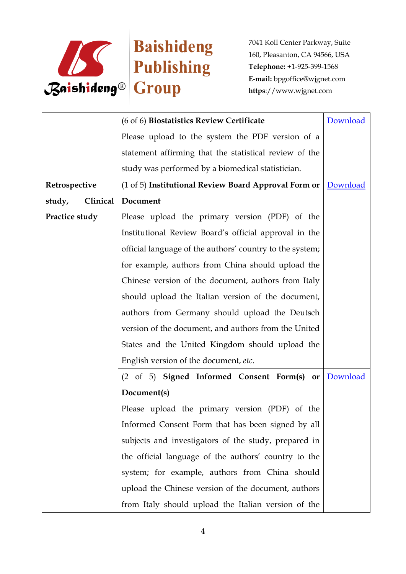

|                    | (6 of 6) Biostatistics Review Certificate                | Download |
|--------------------|----------------------------------------------------------|----------|
|                    | Please upload to the system the PDF version of a         |          |
|                    | statement affirming that the statistical review of the   |          |
|                    | study was performed by a biomedical statistician.        |          |
| Retrospective      | (1 of 5) Institutional Review Board Approval Form or     | Download |
| Clinical<br>study, | Document                                                 |          |
| Practice study     | Please upload the primary version (PDF) of the           |          |
|                    | Institutional Review Board's official approval in the    |          |
|                    | official language of the authors' country to the system; |          |
|                    | for example, authors from China should upload the        |          |
|                    | Chinese version of the document, authors from Italy      |          |
|                    | should upload the Italian version of the document,       |          |
|                    | authors from Germany should upload the Deutsch           |          |
|                    | version of the document, and authors from the United     |          |
|                    | States and the United Kingdom should upload the          |          |
|                    | English version of the document, etc.                    |          |
|                    | (2 of 5) Signed Informed Consent Form(s) or              | Download |
|                    | Document(s)                                              |          |
|                    | Please upload the primary version (PDF) of the           |          |
|                    | Informed Consent Form that has been signed by all        |          |
|                    | subjects and investigators of the study, prepared in     |          |
|                    | the official language of the authors' country to the     |          |
|                    | system; for example, authors from China should           |          |
|                    | upload the Chinese version of the document, authors      |          |
|                    | from Italy should upload the Italian version of the      |          |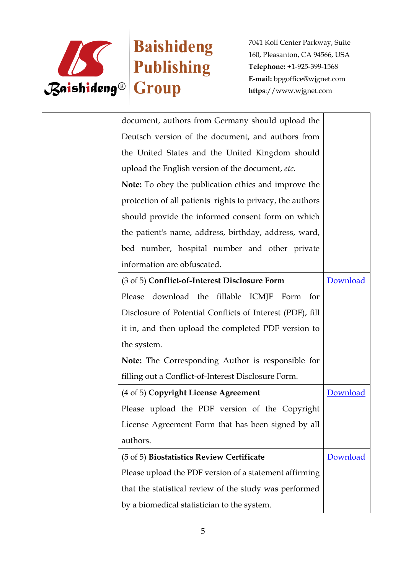

| document, authors from Germany should upload the            |          |  |
|-------------------------------------------------------------|----------|--|
| Deutsch version of the document, and authors from           |          |  |
| the United States and the United Kingdom should             |          |  |
| upload the English version of the document, etc.            |          |  |
| <b>Note:</b> To obey the publication ethics and improve the |          |  |
| protection of all patients' rights to privacy, the authors  |          |  |
| should provide the informed consent form on which           |          |  |
| the patient's name, address, birthday, address, ward,       |          |  |
| bed number, hospital number and other private               |          |  |
| information are obfuscated.                                 |          |  |
| (3 of 5) Conflict-of-Interest Disclosure Form               | Download |  |
| download the fillable ICMJE Form for<br>Please              |          |  |
| Disclosure of Potential Conflicts of Interest (PDF), fill   |          |  |
| it in, and then upload the completed PDF version to         |          |  |
| the system.                                                 |          |  |
| Note: The Corresponding Author is responsible for           |          |  |
| filling out a Conflict-of-Interest Disclosure Form.         |          |  |
| (4 of 5) Copyright License Agreement                        | Download |  |
| Please upload the PDF version of the Copyright              |          |  |
| License Agreement Form that has been signed by all          |          |  |
| authors.                                                    |          |  |
| (5 of 5) Biostatistics Review Certificate                   | Download |  |
| Please upload the PDF version of a statement affirming      |          |  |
| that the statistical review of the study was performed      |          |  |
| by a biomedical statistician to the system.                 |          |  |
|                                                             |          |  |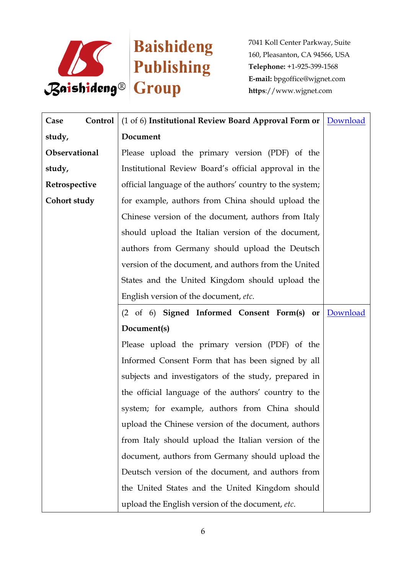

| Control<br>Case | (1 of 6) Institutional Review Board Approval Form or     | Download |
|-----------------|----------------------------------------------------------|----------|
| study,          | Document                                                 |          |
| Observational   | Please upload the primary version (PDF) of the           |          |
| study,          | Institutional Review Board's official approval in the    |          |
| Retrospective   | official language of the authors' country to the system; |          |
| Cohort study    | for example, authors from China should upload the        |          |
|                 | Chinese version of the document, authors from Italy      |          |
|                 | should upload the Italian version of the document,       |          |
|                 | authors from Germany should upload the Deutsch           |          |
|                 | version of the document, and authors from the United     |          |
|                 | States and the United Kingdom should upload the          |          |
|                 | English version of the document, etc.                    |          |
|                 | (2 of 6) Signed Informed Consent Form(s) or              | Download |
|                 | Document(s)                                              |          |
|                 | Please upload the primary version (PDF) of the           |          |
|                 | Informed Consent Form that has been signed by all        |          |
|                 | subjects and investigators of the study, prepared in     |          |
|                 | the official language of the authors' country to the     |          |
|                 | system; for example, authors from China should           |          |
|                 | upload the Chinese version of the document, authors      |          |
|                 | from Italy should upload the Italian version of the      |          |
|                 | document, authors from Germany should upload the         |          |
|                 | Deutsch version of the document, and authors from        |          |
|                 | the United States and the United Kingdom should          |          |
|                 | upload the English version of the document, etc.         |          |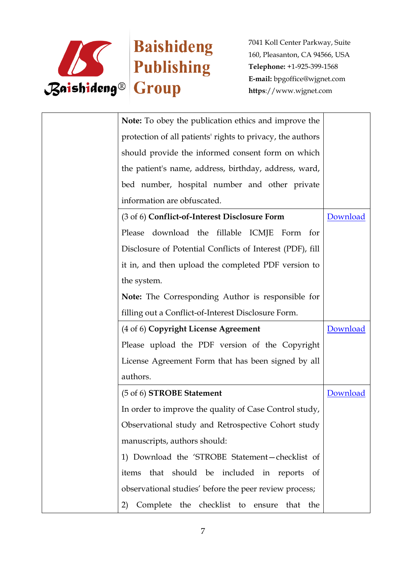

| <b>Note:</b> To obey the publication ethics and improve the |          |
|-------------------------------------------------------------|----------|
| protection of all patients' rights to privacy, the authors  |          |
| should provide the informed consent form on which           |          |
| the patient's name, address, birthday, address, ward,       |          |
| bed number, hospital number and other private               |          |
| information are obfuscated.                                 |          |
| (3 of 6) Conflict-of-Interest Disclosure Form               | Download |
| Please download the fillable ICMJE Form for                 |          |
| Disclosure of Potential Conflicts of Interest (PDF), fill   |          |
| it in, and then upload the completed PDF version to         |          |
| the system.                                                 |          |
| Note: The Corresponding Author is responsible for           |          |
| filling out a Conflict-of-Interest Disclosure Form.         |          |
| (4 of 6) Copyright License Agreement                        | Download |
| Please upload the PDF version of the Copyright              |          |
| License Agreement Form that has been signed by all          |          |
| authors.                                                    |          |
| (5 of 6) <b>STROBE</b> Statement                            | Download |
| In order to improve the quality of Case Control study,      |          |
| Observational study and Retrospective Cohort study          |          |
| manuscripts, authors should:                                |          |
| 1) Download the 'STROBE Statement-checklist of              |          |
| that should be included in reports<br>of<br>items           |          |
| observational studies' before the peer review process;      |          |
| Complete the checklist to ensure<br>the<br>2)<br>that       |          |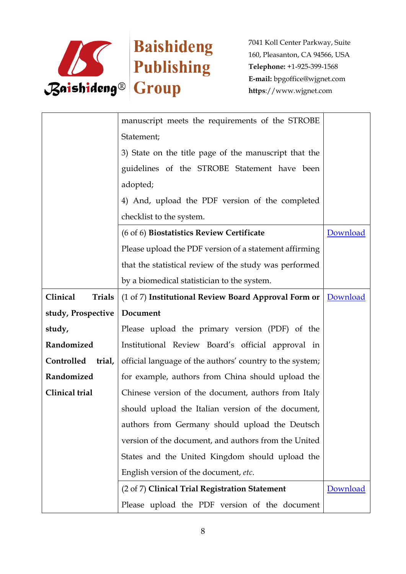

|                           | manuscript meets the requirements of the STROBE          |          |
|---------------------------|----------------------------------------------------------|----------|
|                           | Statement;                                               |          |
|                           | 3) State on the title page of the manuscript that the    |          |
|                           | guidelines of the STROBE Statement have been             |          |
|                           | adopted;                                                 |          |
|                           | 4) And, upload the PDF version of the completed          |          |
|                           | checklist to the system.                                 |          |
|                           | (6 of 6) Biostatistics Review Certificate                | Download |
|                           | Please upload the PDF version of a statement affirming   |          |
|                           | that the statistical review of the study was performed   |          |
|                           | by a biomedical statistician to the system.              |          |
| Clinical<br><b>Trials</b> | (1 of 7) Institutional Review Board Approval Form or     | Download |
| study, Prospective        | Document                                                 |          |
| study,                    | Please upload the primary version (PDF) of the           |          |
| Randomized                | Institutional Review Board's official approval in        |          |
| Controlled trial,         | official language of the authors' country to the system; |          |
| Randomized                | for example, authors from China should upload the        |          |
| Clinical trial            | Chinese version of the document, authors from Italy      |          |
|                           | should upload the Italian version of the document,       |          |
|                           | authors from Germany should upload the Deutsch           |          |
|                           | version of the document, and authors from the United     |          |
|                           | States and the United Kingdom should upload the          |          |
|                           | English version of the document, etc.                    |          |
|                           | (2 of 7) Clinical Trial Registration Statement           | Download |
|                           | Please upload the PDF version of the document            |          |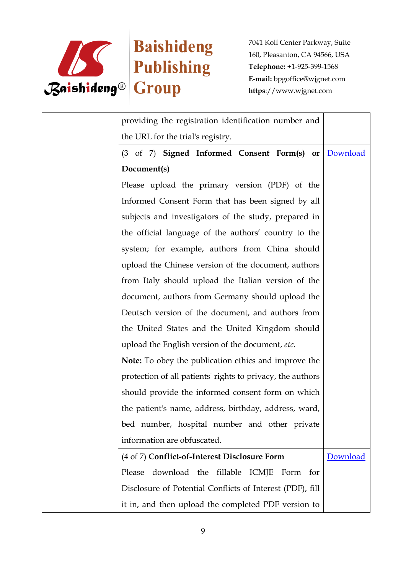

| providing the registration identification number and       |          |
|------------------------------------------------------------|----------|
| the URL for the trial's registry.                          |          |
| (3 of 7) Signed Informed Consent Form(s) or                | Download |
| Document(s)                                                |          |
| Please upload the primary version (PDF) of the             |          |
| Informed Consent Form that has been signed by all          |          |
| subjects and investigators of the study, prepared in       |          |
| the official language of the authors' country to the       |          |
| system; for example, authors from China should             |          |
| upload the Chinese version of the document, authors        |          |
| from Italy should upload the Italian version of the        |          |
| document, authors from Germany should upload the           |          |
| Deutsch version of the document, and authors from          |          |
| the United States and the United Kingdom should            |          |
| upload the English version of the document, etc.           |          |
| Note: To obey the publication ethics and improve the       |          |
| protection of all patients' rights to privacy, the authors |          |
| should provide the informed consent form on which          |          |
| the patient's name, address, birthday, address, ward,      |          |
| bed number, hospital number and other private              |          |
| information are obfuscated.                                |          |
| (4 of 7) Conflict-of-Interest Disclosure Form              | Download |
| download the fillable ICMJE Form for<br>Please             |          |
| Disclosure of Potential Conflicts of Interest (PDF), fill  |          |
| it in, and then upload the completed PDF version to        |          |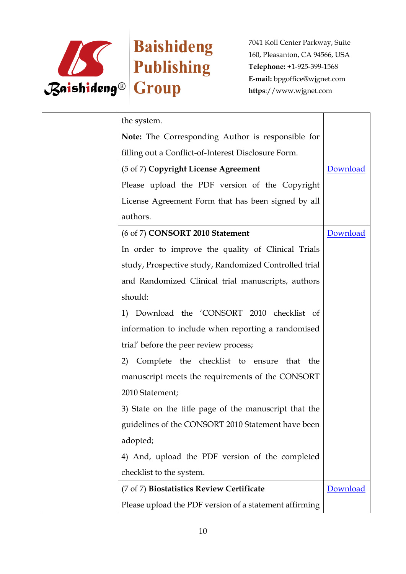

| the system.                                            |          |
|--------------------------------------------------------|----------|
| Note: The Corresponding Author is responsible for      |          |
| filling out a Conflict-of-Interest Disclosure Form.    |          |
| (5 of 7) Copyright License Agreement                   | Download |
| Please upload the PDF version of the Copyright         |          |
| License Agreement Form that has been signed by all     |          |
| authors.                                               |          |
| (6 of 7) CONSORT 2010 Statement                        | Download |
| In order to improve the quality of Clinical Trials     |          |
| study, Prospective study, Randomized Controlled trial  |          |
| and Randomized Clinical trial manuscripts, authors     |          |
| should:                                                |          |
| Download the 'CONSORT 2010 checklist of<br>1)          |          |
| information to include when reporting a randomised     |          |
| trial' before the peer review process;                 |          |
| Complete the checklist to ensure that the<br>2)        |          |
| manuscript meets the requirements of the CONSORT       |          |
| 2010 Statement;                                        |          |
| 3) State on the title page of the manuscript that the  |          |
| guidelines of the CONSORT 2010 Statement have been     |          |
| adopted;                                               |          |
| 4) And, upload the PDF version of the completed        |          |
| checklist to the system.                               |          |
| (7 of 7) Biostatistics Review Certificate              | Download |
| Please upload the PDF version of a statement affirming |          |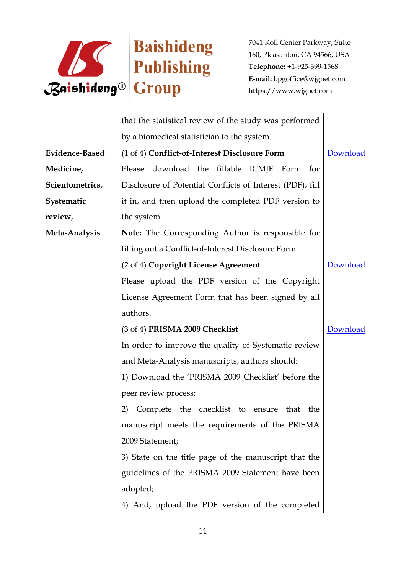

|                       | that the statistical review of the study was performed    |          |
|-----------------------|-----------------------------------------------------------|----------|
|                       | by a biomedical statistician to the system.               |          |
| <b>Evidence-Based</b> | (1 of 4) Conflict-of-Interest Disclosure Form             | Download |
| Medicine,             | Please download the fillable ICMJE Form<br>for            |          |
| Scientometrics,       | Disclosure of Potential Conflicts of Interest (PDF), fill |          |
| Systematic            | it in, and then upload the completed PDF version to       |          |
| review,               | the system.                                               |          |
| Meta-Analysis         | <b>Note:</b> The Corresponding Author is responsible for  |          |
|                       | filling out a Conflict-of-Interest Disclosure Form.       |          |
|                       | (2 of 4) Copyright License Agreement                      | Download |
|                       | Please upload the PDF version of the Copyright            |          |
|                       | License Agreement Form that has been signed by all        |          |
|                       | authors.                                                  |          |
|                       | (3 of 4) PRISMA 2009 Checklist                            | Download |
|                       | In order to improve the quality of Systematic review      |          |
|                       | and Meta-Analysis manuscripts, authors should:            |          |
|                       | 1) Download the 'PRISMA 2009 Checklist' before the        |          |
|                       | peer review process;                                      |          |
|                       | 2)<br>Complete the checklist to ensure that<br>the        |          |
|                       | manuscript meets the requirements of the PRISMA           |          |
|                       | 2009 Statement;                                           |          |
|                       | 3) State on the title page of the manuscript that the     |          |
|                       | guidelines of the PRISMA 2009 Statement have been         |          |
|                       | adopted;                                                  |          |
|                       | 4) And, upload the PDF version of the completed           |          |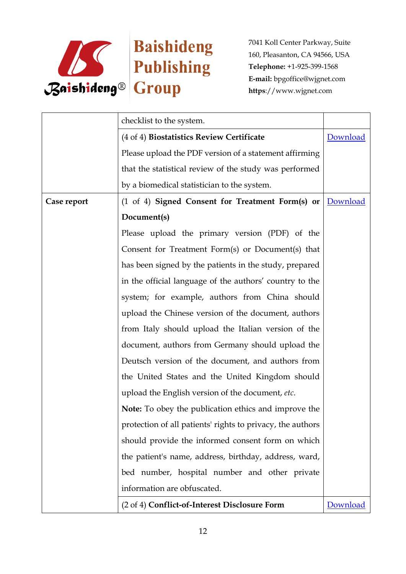

|             | checklist to the system.                                    |          |
|-------------|-------------------------------------------------------------|----------|
|             | (4 of 4) Biostatistics Review Certificate                   | Download |
|             | Please upload the PDF version of a statement affirming      |          |
|             | that the statistical review of the study was performed      |          |
|             | by a biomedical statistician to the system.                 |          |
| Case report | (1 of 4) Signed Consent for Treatment Form(s) or            | Download |
|             | Document(s)                                                 |          |
|             | Please upload the primary version (PDF) of the              |          |
|             | Consent for Treatment Form(s) or Document(s) that           |          |
|             | has been signed by the patients in the study, prepared      |          |
|             | in the official language of the authors' country to the     |          |
|             | system; for example, authors from China should              |          |
|             | upload the Chinese version of the document, authors         |          |
|             | from Italy should upload the Italian version of the         |          |
|             | document, authors from Germany should upload the            |          |
|             | Deutsch version of the document, and authors from           |          |
|             | the United States and the United Kingdom should             |          |
|             | upload the English version of the document, etc.            |          |
|             | <b>Note:</b> To obey the publication ethics and improve the |          |
|             | protection of all patients' rights to privacy, the authors  |          |
|             | should provide the informed consent form on which           |          |
|             | the patient's name, address, birthday, address, ward,       |          |
|             | bed number, hospital number and other private               |          |
|             | information are obfuscated.                                 |          |
|             | (2 of 4) Conflict-of-Interest Disclosure Form               | Download |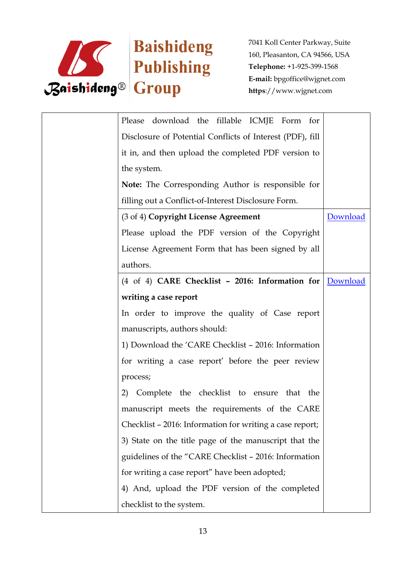

| Please download the fillable ICMJE Form for               |          |
|-----------------------------------------------------------|----------|
| Disclosure of Potential Conflicts of Interest (PDF), fill |          |
| it in, and then upload the completed PDF version to       |          |
| the system.                                               |          |
| Note: The Corresponding Author is responsible for         |          |
| filling out a Conflict-of-Interest Disclosure Form.       |          |
| (3 of 4) Copyright License Agreement                      | Download |
| Please upload the PDF version of the Copyright            |          |
| License Agreement Form that has been signed by all        |          |
| authors.                                                  |          |
| (4 of 4) CARE Checklist - 2016: Information for Download  |          |
| writing a case report                                     |          |
| In order to improve the quality of Case report            |          |
| manuscripts, authors should:                              |          |
| 1) Download the 'CARE Checklist - 2016: Information       |          |
| for writing a case report' before the peer review         |          |
| process;                                                  |          |
| Complete the checklist to ensure that the<br>2)           |          |
| manuscript meets the requirements of the CARE             |          |
| Checklist - 2016: Information for writing a case report;  |          |
| 3) State on the title page of the manuscript that the     |          |
| guidelines of the "CARE Checklist - 2016: Information     |          |
| for writing a case report" have been adopted;             |          |
| 4) And, upload the PDF version of the completed           |          |
| checklist to the system.                                  |          |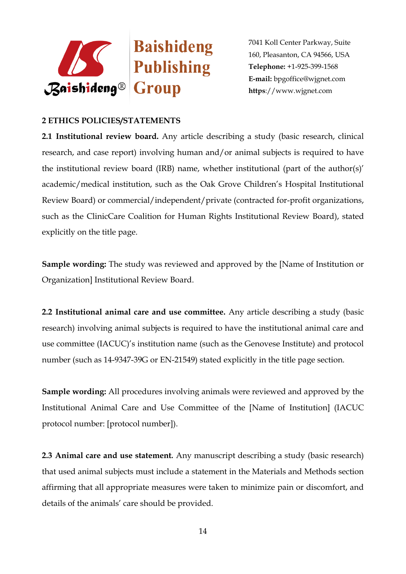

## **2 ETHICS POLICIES/STATEMENTS**

**2.1 Institutional review board.** Any article describing a study (basic research, clinical research, and case report) involving human and/or animal subjects is required to have the institutional review board (IRB) name, whether institutional (part of the author(s)' academic/medical institution, such as the Oak Grove Children's Hospital Institutional Review Board) or commercial/independent/private (contracted for-profit organizations, such as the ClinicCare Coalition for Human Rights Institutional Review Board), stated explicitly on the title page.

**Sample wording:** The study was reviewed and approved by the [Name of Institution or Organization] Institutional Review Board.

**2.2 Institutional animal care and use committee.** Any article describing a study (basic research) involving animal subjects is required to have the institutional animal care and use committee (IACUC)'s institution name (such as the Genovese Institute) and protocol number (such as 14-9347-39G or EN-21549) stated explicitly in the title page section.

**Sample wording:** All procedures involving animals were reviewed and approved by the Institutional Animal Care and Use Committee of the [Name of Institution] (IACUC protocol number: [protocol number]).

**2.3 Animal care and use statement***.* Any manuscript describing a study (basic research) that used animal subjects must include a statement in the Materials and Methods section affirming that all appropriate measures were taken to minimize pain or discomfort, and details of the animals' care should be provided.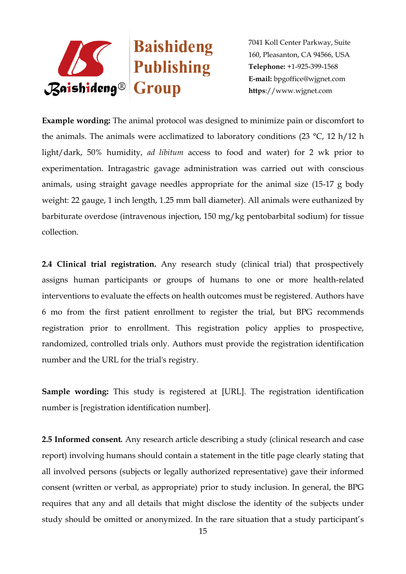

**Example wording:** The animal protocol was designed to minimize pain or discomfort to the animals. The animals were acclimatized to laboratory conditions (23  $^{\circ}$ C, 12 h/12 h light/dark, 50% humidity, *ad libitum* access to food and water) for 2 wk prior to experimentation. Intragastric gavage administration was carried out with conscious animals, using straight gavage needles appropriate for the animal size (15-17 g body weight: 22 gauge, 1 inch length, 1.25 mm ball diameter). All animals were euthanized by barbiturate overdose (intravenous injection, 150 mg/kg pentobarbital sodium) for tissue collection.

**2.4 Clinical trial registration.** Any research study (clinical trial) that prospectively assigns human participants or groups of humans to one or more health-related interventions to evaluate the effects on health outcomes must be registered. Authors have 6 mo from the first patient enrollment to register the trial, but BPG recommends registration prior to enrollment. This registration policy applies to prospective, randomized, controlled trials only. Authors must provide the registration identification number and the URL for the trial's registry.

**Sample wording:** This study is registered at [URL]. The registration identification number is [registration identification number].

**2.5 Informed consent***.* Any research article describing a study (clinical research and case report) involving humans should contain a statement in the title page clearly stating that all involved persons (subjects or legally authorized representative) gave their informed consent (written or verbal, as appropriate) prior to study inclusion. In general, the BPG requires that any and all details that might disclose the identity of the subjects under study should be omitted or anonymized. In the rare situation that a study participant's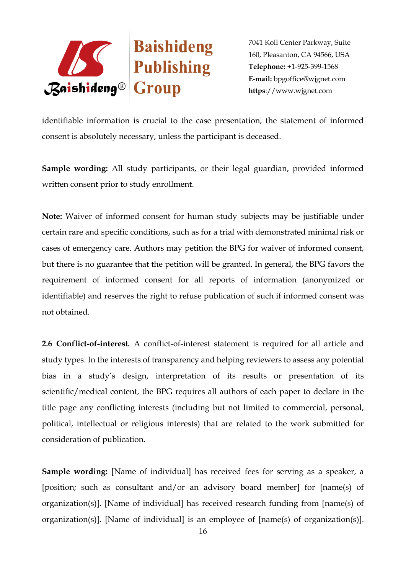

identifiable information is crucial to the case presentation, the statement of informed consent is absolutely necessary, unless the participant is deceased.

**Sample wording:** All study participants, or their legal guardian, provided informed written consent prior to study enrollment.

**Note:** Waiver of informed consent for human study subjects may be justifiable under certain rare and specific conditions, such as for a trial with demonstrated minimal risk or cases of emergency care. Authors may petition the BPG for waiver of informed consent, but there is no guarantee that the petition will be granted. In general, the BPG favors the requirement of informed consent for all reports of information (anonymized or identifiable) and reserves the right to refuse publication of such if informed consent was not obtained.

**2.6 Conflict-of-interest***.* A conflict-of-interest statement is required for all article and study types. In the interests of transparency and helping reviewers to assess any potential bias in a study's design, interpretation of its results or presentation of its scientific/medical content, the BPG requires all authors of each paper to declare in the title page any conflicting interests (including but not limited to commercial, personal, political, intellectual or religious interests) that are related to the work submitted for consideration of publication.

**Sample wording:** [Name of individual] has received fees for serving as a speaker, a [position; such as consultant and/or an advisory board member] for [name(s) of organization(s)]. [Name of individual] has received research funding from [name(s) of organization(s)]. [Name of individual] is an employee of [name(s) of organization(s)].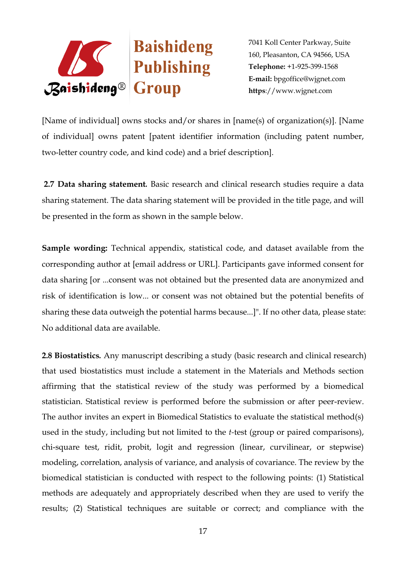

[Name of individual] owns stocks and/or shares in [name(s) of organization(s)]. [Name of individual] owns patent [patent identifier information (including patent number, two-letter country code, and kind code) and a brief description].

**2.7 Data sharing statement***.* Basic research and clinical research studies require a data sharing statement. The data sharing statement will be provided in the title page, and will be presented in the form as shown in the sample below.

**Sample wording:** Technical appendix, statistical code, and dataset available from the corresponding author at [email address or URL]. Participants gave informed consent for data sharing [or ...consent was not obtained but the presented data are anonymized and risk of identification is low... or consent was not obtained but the potential benefits of sharing these data outweigh the potential harms because...]". If no other data, please state: No additional data are available.

**2.8 Biostatistics***.* Any manuscript describing a study (basic research and clinical research) that used biostatistics must include a statement in the Materials and Methods section affirming that the statistical review of the study was performed by a biomedical statistician. Statistical review is performed before the submission or after peer-review. The author invites an expert in Biomedical Statistics to evaluate the statistical method(s) used in the study, including but not limited to the *t-*test (group or paired comparisons), chi-square test, ridit, probit, logit and regression (linear, curvilinear, or stepwise) modeling, correlation, analysis of variance, and analysis of covariance. The review by the biomedical statistician is conducted with respect to the following points: (1) Statistical methods are adequately and appropriately described when they are used to verify the results; (2) Statistical techniques are suitable or correct; and compliance with the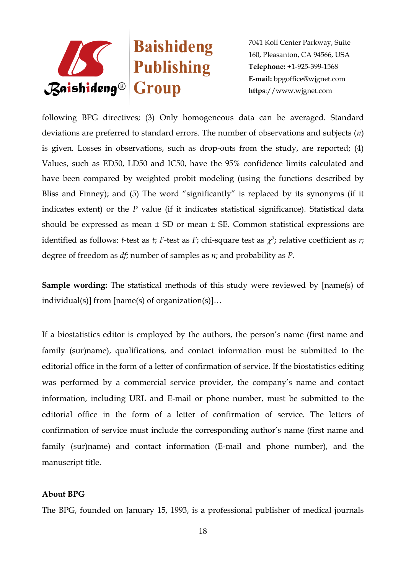

following BPG directives; (3) Only homogeneous data can be averaged. Standard deviations are preferred to standard errors. The number of observations and subjects (*n*) is given. Losses in observations, such as drop-outs from the study, are reported; (4) Values, such as ED50, LD50 and IC50, have the 95% confidence limits calculated and have been compared by weighted probit modeling (using the functions described by Bliss and Finney); and (5) The word "significantly" is replaced by its synonyms (if it indicates extent) or the *P* value (if it indicates statistical significance). Statistical data should be expressed as mean  $\pm$  SD or mean  $\pm$  SE. Common statistical expressions are identified as follows: *t*-test as *t*; *F*-test as *F*; chi-square test as  $\chi^2$ ; relative coefficient as *r*; degree of freedom as *df*; number of samples as *n*; and probability as *P*.

**Sample wording:** The statistical methods of this study were reviewed by [name(s) of individual(s)] from [name(s) of organization(s)]…

If a biostatistics editor is employed by the authors, the person's name (first name and family (sur)name), qualifications, and contact information must be submitted to the editorial office in the form of a letter of confirmation of service. If the biostatistics editing was performed by a commercial service provider, the company's name and contact information, including URL and E-mail or phone number, must be submitted to the editorial office in the form of a letter of confirmation of service. The letters of confirmation of service must include the corresponding author's name (first name and family (sur)name) and contact information (E-mail and phone number), and the manuscript title.

## **About BPG**

The BPG, founded on January 15, 1993, is a professional publisher of medical journals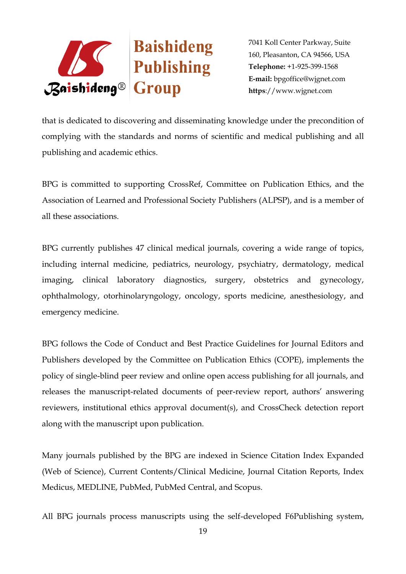

that is dedicated to discovering and disseminating knowledge under the precondition of complying with the standards and norms of scientific and medical publishing and all publishing and academic ethics.

BPG is committed to supporting CrossRef, Committee on Publication Ethics, and the Association of Learned and Professional Society Publishers (ALPSP), and is a member of all these associations.

BPG currently publishes 47 clinical medical journals, covering a wide range of topics, including internal medicine, pediatrics, neurology, psychiatry, dermatology, medical imaging, clinical laboratory diagnostics, surgery, obstetrics and gynecology, ophthalmology, otorhinolaryngology, oncology, sports medicine, anesthesiology, and emergency medicine.

BPG follows the Code of Conduct and Best Practice Guidelines for Journal Editors and Publishers developed by the Committee on Publication Ethics (COPE), implements the policy of single-blind peer review and online open access publishing for all journals, and releases the manuscript-related documents of peer-review report, authors' answering reviewers, institutional ethics approval document(s), and CrossCheck detection report along with the manuscript upon publication.

Many journals published by the BPG are indexed in Science Citation Index Expanded (Web of Science), Current Contents/Clinical Medicine, Journal Citation Reports, Index Medicus, MEDLINE, PubMed, PubMed Central, and Scopus.

All BPG journals process manuscripts using the self-developed F6Publishing system,